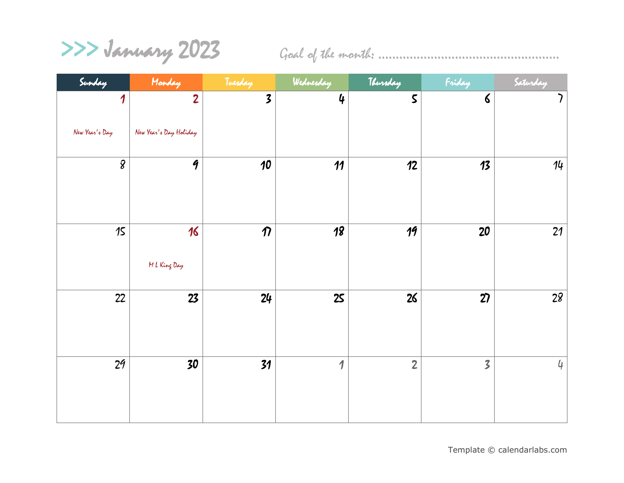>>> January 2023 Goal of the month: ………………………………………..…..

| Sunday         | Monday                 | Tuesday                 | Wednesday      | Thursday        | Friday                  | Saturday                 |
|----------------|------------------------|-------------------------|----------------|-----------------|-------------------------|--------------------------|
| 1              | $\overline{2}$         | $\overline{\mathbf{3}}$ | $\mathbf 4$    | $\mathsf S$     | $\boldsymbol{\zeta}$    | $\overline{\phantom{a}}$ |
| New Year's Day | New Year's Day Holiday |                         |                |                 |                         |                          |
| $\overline{g}$ | $\overline{q}$         | $\overline{10}$         | 11             | 12              | 13                      | 14                       |
| 15             | 16<br>M L King Day     | $\boldsymbol{\eta}$     | 18             | $\overline{19}$ | 20                      | 21                       |
| 22             | 23                     | 24                      | 25             | 26              | 27                      | 28                       |
| 2 <sub>9</sub> | 30                     | 31                      | $\overline{1}$ | $\overline{2}$  | $\overline{\mathbf{3}}$ | $\downarrow$             |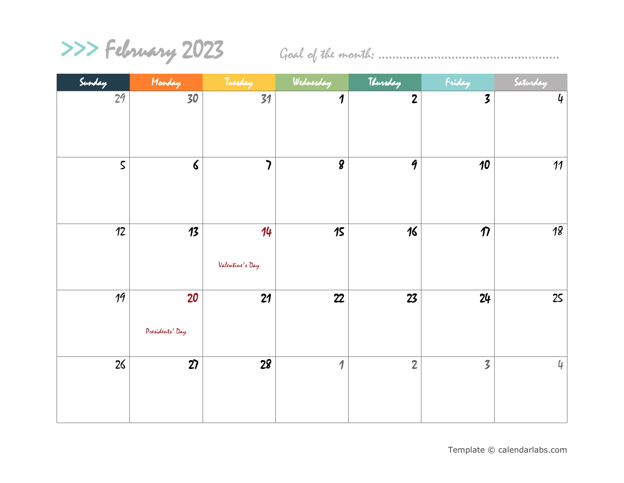## >>> February 2023 Goal of the month: ………………………………………..…..

| Sunday         | Monday               | Tuesday                  | Wednesday                | Thursday           | Friday                  | Saturday       |
|----------------|----------------------|--------------------------|--------------------------|--------------------|-------------------------|----------------|
| 2 <sup>q</sup> | $\overline{30}$      | 31                       | $\boldsymbol{\eta}$      | $\overline{c}$     | $\overline{\mathbf{3}}$ | $\mathbf 4$    |
|                |                      |                          |                          |                    |                         |                |
|                |                      |                          |                          |                    |                         |                |
| $\mathsf S$    | $\boldsymbol{\zeta}$ | $\overline{\phantom{a}}$ | $\boldsymbol{g}$         | $\mathbf{\hat{q}}$ | $\boldsymbol{\jmath}$   | 11             |
|                |                      |                          |                          |                    |                         |                |
|                |                      |                          |                          |                    |                         |                |
| 12             | 13                   | 14                       | 15                       | $\sqrt{6}$         | $\boldsymbol{\eta}$     | 18             |
|                |                      |                          |                          |                    |                         |                |
|                |                      | Valentine's Day          |                          |                    |                         |                |
| 19             | 20                   | 21                       | 22                       | 23                 | 24                      | 25             |
|                |                      |                          |                          |                    |                         |                |
|                | Presidents' Day      |                          |                          |                    |                         |                |
| 26             | $\overline{27}$      | $\overline{28}$          | $\overline{\mathcal{L}}$ | $\overline{2}$     | $\overline{\mathbf{3}}$ | $\mathfrak{q}$ |
|                |                      |                          |                          |                    |                         |                |
|                |                      |                          |                          |                    |                         |                |
|                |                      |                          |                          |                    |                         |                |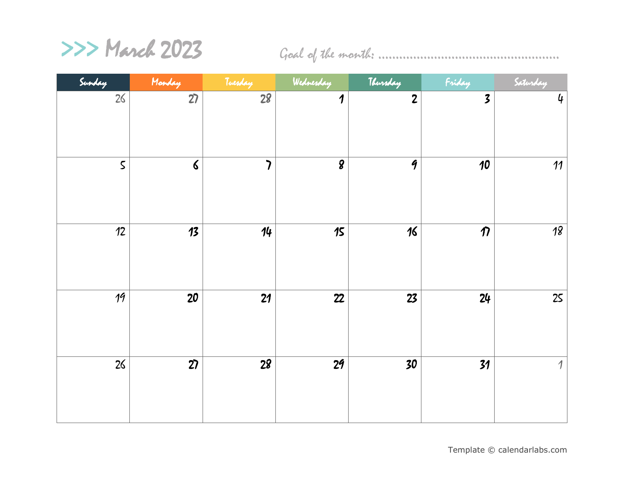

>>> March 2023 Goal of the month: ………………………………………..…..

| Sunday      | Monday          | Tuesday                  | Wednesday           | Thursday           | Friday                  | Saturday            |
|-------------|-----------------|--------------------------|---------------------|--------------------|-------------------------|---------------------|
| 26          | 27              | $\overline{28}$          | $\boldsymbol{\eta}$ | $\overline{c}$     | $\overline{\mathbf{3}}$ | 4                   |
| $\mathsf S$ | $\pmb{\zeta}$   | $\overline{\phantom{a}}$ | $\boldsymbol{g}$    | $\mathbf{\hat{q}}$ | 10                      | 11                  |
| 12          | 13              | 14                       | 15                  | 16                 | $\boldsymbol{\eta}$     | $18$                |
| 19          | 20              | 21                       | 22                  | 23                 | 24                      | 25                  |
| 26          | $\overline{27}$ | $\overline{28}$          | 2 <sub>9</sub>      | 30                 | 31                      | $\boldsymbol{\eta}$ |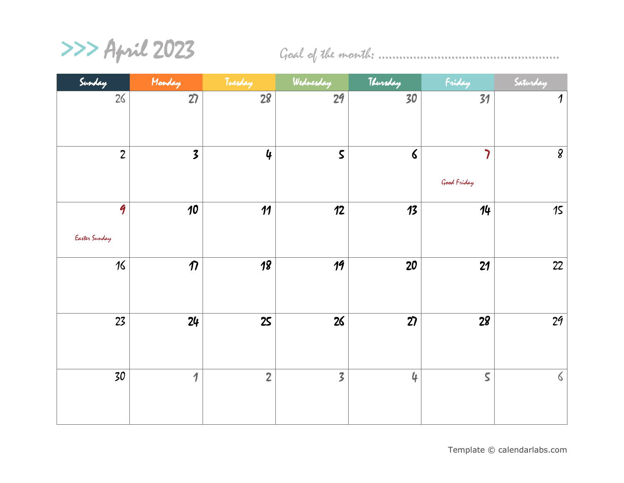>>> April 2023 Goal of the month: ………………………………………..…..

| Sunday                              | Monday                   | Tuesday         | Wednesday               | Thursday      | Friday                  | Saturday            |
|-------------------------------------|--------------------------|-----------------|-------------------------|---------------|-------------------------|---------------------|
| 26                                  | 27                       | $\overline{28}$ | 29                      | 30            | 31                      | $\boldsymbol{\eta}$ |
| $\mathbf{2}$                        | $\overline{\mathbf{3}}$  | $\mathbf 4$     | $\mathsf S$             | $\pmb{\zeta}$ | י<br>Good Friday        | $\pmb{g}$           |
| $\mathbf{\hat{q}}$<br>Easter Sunday | 10                       | 11              | 12                      | 13            | 14                      | 15                  |
| $16\,$                              | $\boldsymbol{\eta}$      | $\overline{18}$ | 19                      | 20            | 21                      | 22                  |
| 23                                  | 24                       | 25              | 26                      | 27            | 28                      | 2 <sup>q</sup>      |
| 30                                  | $\overline{\mathcal{L}}$ | $\overline{2}$  | $\overline{\mathbf{3}}$ | $\mathbf 4$   | $\overline{\mathsf{S}}$ | $\zeta$             |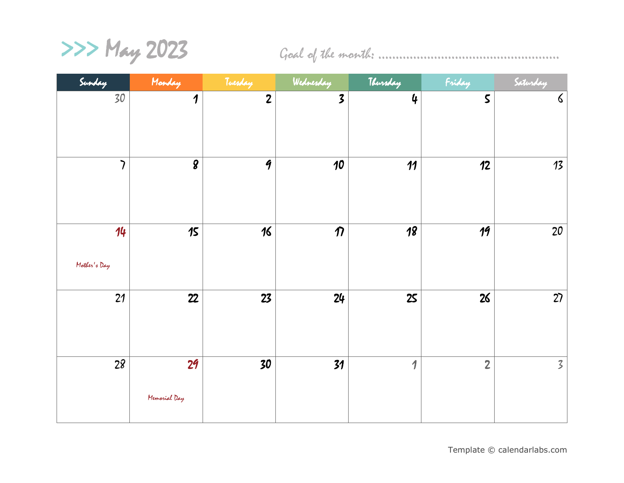>>> May 2023 Goal of the month: ………………………………………..…..

| Sunday                   | Monday              | Tuesday            | Wednesday               | Thursday            | Friday         | Saturday       |
|--------------------------|---------------------|--------------------|-------------------------|---------------------|----------------|----------------|
| 30                       | $\boldsymbol{\eta}$ | $\mathbf{2}$       | $\overline{\mathbf{3}}$ | $\mathbf 4$         | $\mathsf S$    | $\pmb{\zeta}$  |
|                          |                     |                    |                         |                     |                |                |
|                          |                     |                    |                         |                     |                |                |
| $\overline{\phantom{a}}$ | $\boldsymbol{g}$    | $\mathbf{\hat{q}}$ | 10                      | 11                  | 12             | 13             |
|                          |                     |                    |                         |                     |                |                |
|                          |                     |                    |                         |                     |                |                |
| 14                       | 15                  | 16                 | $\boldsymbol{\eta}$     | 18                  | 19             | 20             |
| Mother's Day             |                     |                    |                         |                     |                |                |
|                          |                     |                    |                         |                     |                |                |
| 21                       | 22                  | 23                 | 24                      | 25                  | 26             | 27             |
|                          |                     |                    |                         |                     |                |                |
|                          |                     |                    |                         |                     |                |                |
| 28                       | 29                  | 30                 | 31                      | $\boldsymbol{\eta}$ | $\overline{2}$ | $\overline{3}$ |
|                          | Memorial Day        |                    |                         |                     |                |                |
|                          |                     |                    |                         |                     |                |                |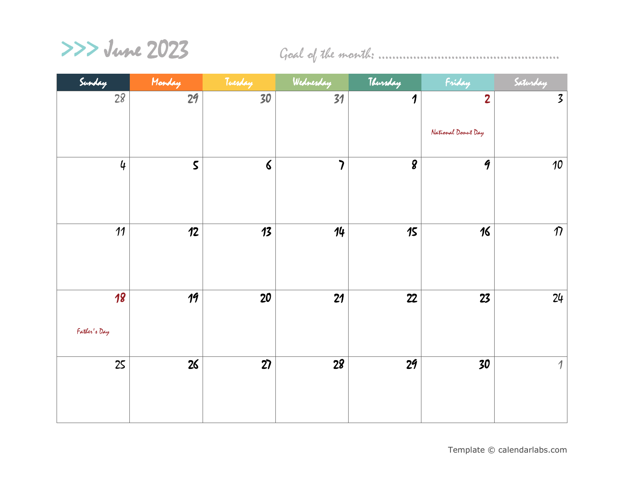>>> June 2023 Goal of the month: ………………………………………..…..

| Sunday                          | Monday          | Tuesday              | Wednesday                | Thursday            | Friday             | Saturday                |
|---------------------------------|-----------------|----------------------|--------------------------|---------------------|--------------------|-------------------------|
| 28                              | $\overline{29}$ | 30                   | 31                       | $\boldsymbol{\eta}$ | $\overline{2}$     | $\overline{\mathbf{3}}$ |
|                                 |                 |                      |                          |                     | National Donut Day |                         |
| $\mathbf 4$                     | $\mathsf S$     | $\boldsymbol{\zeta}$ | $\overline{\phantom{a}}$ | $\overline{g}$      | $\overline{q}$     | 10                      |
| 11                              | 12              | 13                   | 14                       | 15                  | 16                 | $\eta$                  |
| $\overline{18}$<br>Father's Day | 19              | 20                   | 21                       | 22                  | 23                 | 24                      |
| 25                              | $\overline{26}$ | $\overline{27}$      | $\overline{28}$          | $\overline{29}$     | 30                 | $\boldsymbol{\eta}$     |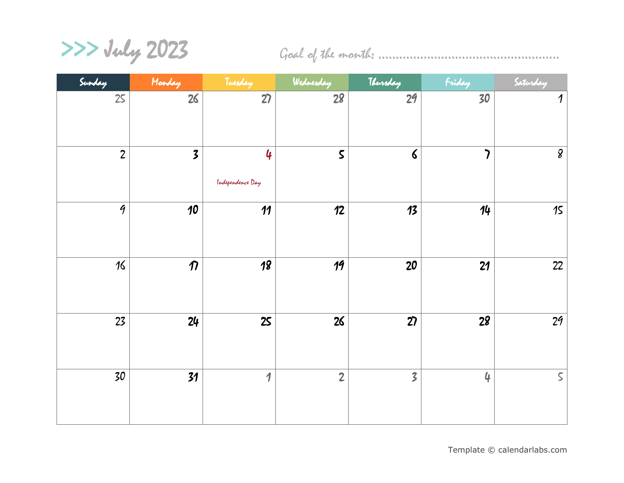>>> July 2023 Goal of the month: ………………………………………..…..

| Sunday          | Monday                  | Tuesday               | Wednesday       | Thursday                | Friday                   | Saturday            |
|-----------------|-------------------------|-----------------------|-----------------|-------------------------|--------------------------|---------------------|
| 25              | 26                      | $\overline{27}$       | $\overline{28}$ | $\overline{29}$         | 30                       | $\boldsymbol{\eta}$ |
| $\mathbf{Z}$    | $\overline{\mathbf{3}}$ | 4<br>Independence Day | $\mathsf S$     | $\pmb{\zeta}$           | $\overline{\phantom{a}}$ | $\mathcal{S}$       |
| $\mathcal{G}$   | 10                      | 11                    | 12              | 13                      | 14                       | $15$                |
| 16              | $\boldsymbol{\eta}$     | 18                    | 19              | 20                      | 21                       | 22                  |
| 23              | 24                      | 25                    | 26              | 27                      | 28                       | 2 <sup>q</sup>      |
| $\overline{30}$ | 31                      | $\boldsymbol{\eta}$   | $\overline{2}$  | $\overline{\mathbf{3}}$ | $\mathbf 4$              | $\mathsf S$         |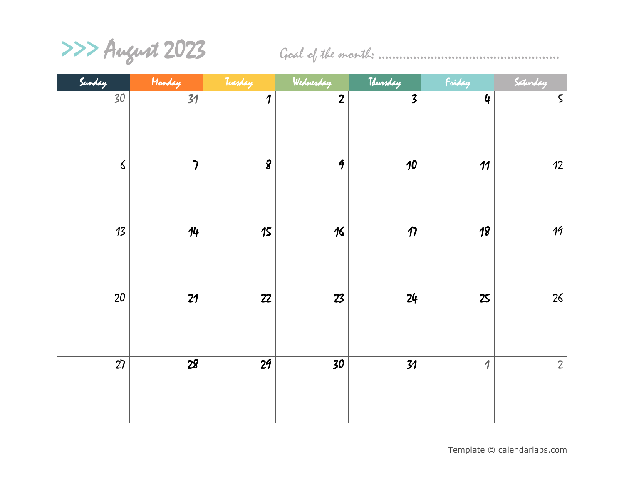>>> August 2023 Goal of the month: ………………………………………..…..

| Sunday          | Monday                   | Tuesday                     | Wednesday          | Thursday                | Friday              | Saturday                 |
|-----------------|--------------------------|-----------------------------|--------------------|-------------------------|---------------------|--------------------------|
| 30              | 31                       | $\boldsymbol{\eta}$         | $\overline{2}$     | $\overline{\mathbf{3}}$ | $\mathbf 4$         | $\boldsymbol{\mathsf S}$ |
| $\pmb{\zeta}$   | $\overline{\phantom{a}}$ | $\overline{\boldsymbol{g}}$ | $\mathbf{\hat{q}}$ | 10                      | 11                  | 12                       |
| 13              | 14                       | 15                          | 16                 | $\boldsymbol{\eta}$     | $\overline{18}$     | $\overline{19}$          |
| 20              | 21                       | 22                          | 23                 | 24                      | 25                  | 26                       |
| $\overline{27}$ | $\overline{28}$          | $\overline{29}$             | $\overline{30}$    | $\overline{31}$         | $\boldsymbol{\eta}$ | $\overline{2}$           |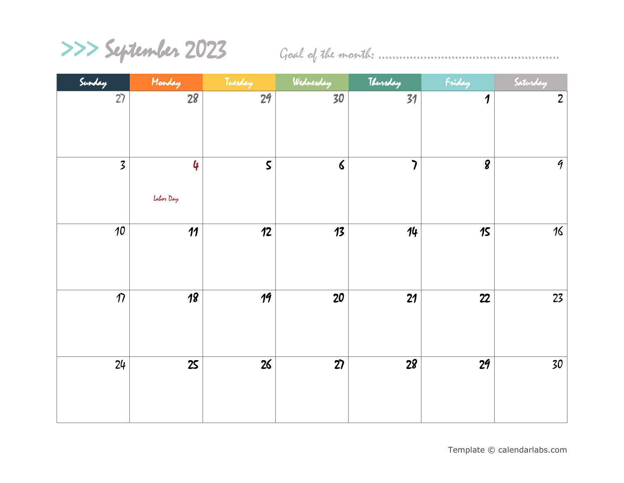>>> September 2023 Goal of the month: ………………………………………..…..

| Sunday                  | Monday          | Tuesday         | Wednesday       | Thursday                 | Friday              | Saturday      |
|-------------------------|-----------------|-----------------|-----------------|--------------------------|---------------------|---------------|
| 27                      | $\overline{28}$ | $\overline{29}$ | 30              | 31                       | $\boldsymbol{\eta}$ | $\mathbf{Z}$  |
| $\overline{\mathbf{z}}$ | 4<br>Labor Day  | $\mathsf S$     | $\delta$        | $\overline{\phantom{a}}$ | $\boldsymbol{g}$    | $\mathcal{G}$ |
| 10                      | 11              | 12              | 13              | 14                       | 15                  | 16            |
| $\eta$                  | $\overline{18}$ | 19              | 20              | 21                       | 22                  | 23            |
| 24                      | 25              | $\overline{26}$ | $\overline{27}$ | $\overline{28}$          | $\overline{29}$     | 30            |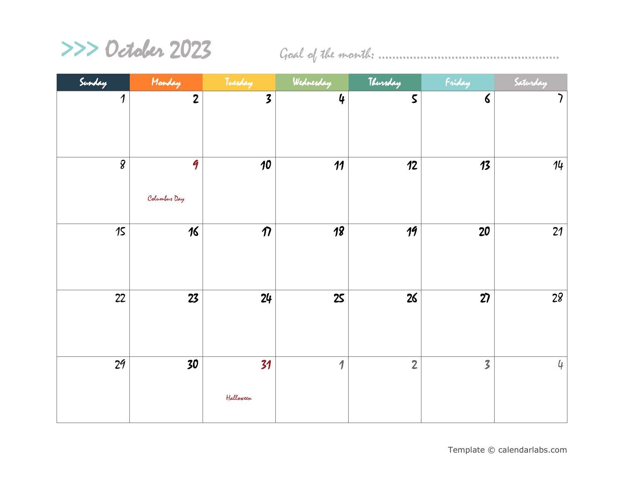

>>> October 2023 Goal of the month: ………………………………………..…..

| Sunday              | Monday         | Tuesday                 | Wednesday   | Thursday       | Friday                  | Saturday                 |
|---------------------|----------------|-------------------------|-------------|----------------|-------------------------|--------------------------|
| $\boldsymbol{\eta}$ | $\overline{2}$ | $\overline{\mathbf{3}}$ | $\mathbf 4$ | $\mathsf S$    | $\pmb{\zeta}$           | $\overline{\phantom{a}}$ |
|                     |                |                         |             |                |                         |                          |
|                     |                |                         |             |                |                         |                          |
| $\mathcal{S}$       | 9              | 10                      | 11          | 12             | 13                      | 14                       |
|                     |                |                         |             |                |                         |                          |
|                     | Columbus Day   |                         |             |                |                         |                          |
| 15                  | 16             | $\boldsymbol{\eta}$     | 18          | 19             | 20                      | 21                       |
|                     |                |                         |             |                |                         |                          |
|                     |                |                         |             |                |                         |                          |
| 22                  | 23             | 24                      | 25          | 26             | $\overline{27}$         | $\overline{28}$          |
|                     |                |                         |             |                |                         |                          |
|                     |                |                         |             |                |                         |                          |
|                     |                |                         |             |                |                         |                          |
| 2 <sup>q</sup>      | 30             | 31                      | 1           | $\overline{2}$ | $\overline{\mathbf{3}}$ | $\mathfrak{q}$           |
|                     |                | Halloween               |             |                |                         |                          |
|                     |                |                         |             |                |                         |                          |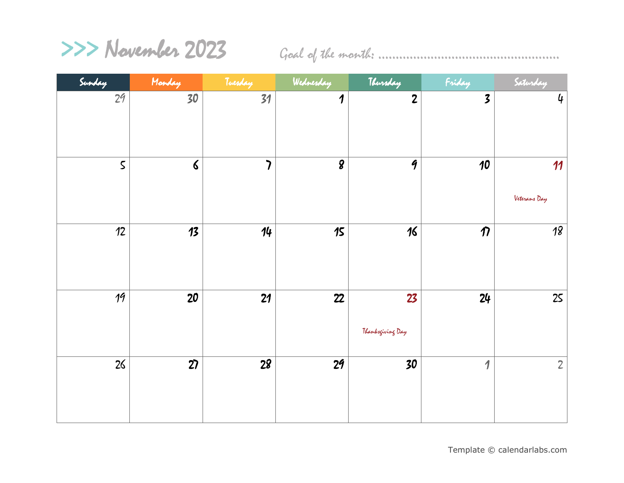

>>> November 2023 Goal of the month: ………………………………………..…..

| Sunday      | Monday          | Tuesday                  | Wednesday           | Thursday               | Friday                  | Saturday             |
|-------------|-----------------|--------------------------|---------------------|------------------------|-------------------------|----------------------|
| 29          | $\overline{30}$ | $\overline{31}$          | $\boldsymbol{\eta}$ | $\overline{c}$         | $\overline{\mathbf{3}}$ | $\pmb{\mathfrak{q}}$ |
| $\mathsf S$ | $\delta$        | $\overline{\phantom{a}}$ | $\boldsymbol{g}$    | $\mathbf{\hat{q}}$     | 10                      | 11<br>Veterans Day   |
| 12          | 13              | 14                       | $15$                | 16                     | $\boldsymbol{\eta}$     | $\overline{18}$      |
| 19          | 20              | 21                       | 22                  | 23<br>Thanksgiving Day | 24                      | 25                   |
| 26          | $\overline{27}$ | $\overline{28}$          | 2 <sub>9</sub>      | 30                     | 1                       | $\overline{2}$       |